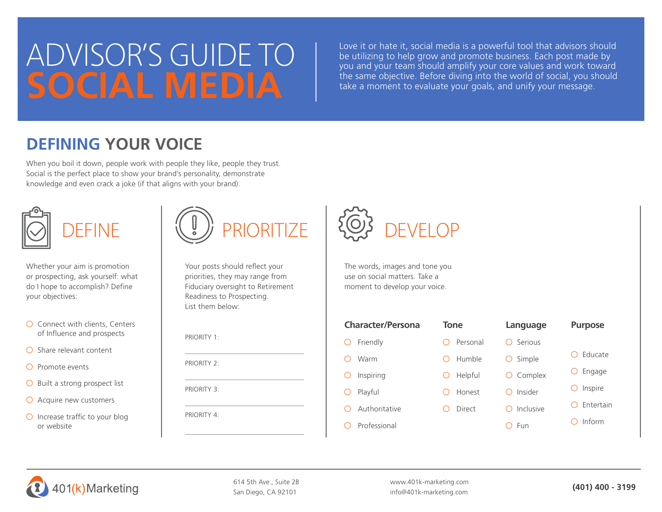# ADVISOR'S GUIDE TO **SOCIAL MEDIA**

Love it or hate it, social media is a powerful tool that advisors should be utilizing to help grow and promote business. Each post made by you and your team should amplify your core values and work toward the same objective. Before diving into the world of social, you should take a moment to evaluate your goals, and unify your message.

## **DEFINING YOUR VOICE**

When you boil it down, people work with people they like, people they trust. Social is the perfect place to show your brand's personality, demonstrate knowledge and even crack a joke (if that aligns with your brand).



Whether your aim is promotion or prospecting, ask yourself: what do I hope to accomplish? Define your objectives:

| $\bigcirc$ Connect with clients, Centers |
|------------------------------------------|
| of Influence and prospects               |

- $\bigcirc$  Share relevant content
- $\bigcap$  Promote events
- $\bigcirc$  Built a strong prospect list
- $\bigcirc$  Acquire new customers
- $\bigcirc$  Increase traffic to your blog or website



Your posts should reflect your priorities, they may range from Fiduciary oversight to Retirement Readiness to Prospecting. List them below:

PRIORITY 1:

PRIORITY 2.

PRIORITY 3:

PRIORITY 4:



The words, images and tone you use on social matters. Take a moment to develop your voice.

| <b>Character/Persona</b> | <b>Tone</b> | Language  | <b>Purpose</b> |  |  |
|--------------------------|-------------|-----------|----------------|--|--|
| Friendly                 | Personal    | Serious   |                |  |  |
| Warm                     | Humble      | Simple    | Educate        |  |  |
| Inspiring                | Helpful     | Complex   | Engage         |  |  |
| Playful                  | Honest      | Insider   | Inspire        |  |  |
| Authoritative            | Direct      | Inclusive | Entertain      |  |  |
| Professional             |             | Fun       | Inform         |  |  |